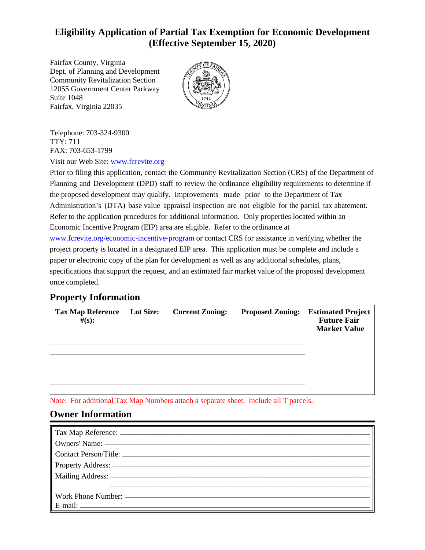# **Eligibility Application of Partial Tax Exemption for Economic Development (Effective September 15, 2020)**

Fairfax, Virginia 22035 Suite 1048 12055 Government Center Parkway Community Revitalization Section Dept. of Planning and Development Fairfax County, Virginia



FAX: 703-653-1799 TTY: 711 Telephone: 703-324-9300

Visit our Web Site: [www.fcrevite.org](http://www.fcrevite.org)

Economic Incentive Program (EIP) area are eligible. Refer to the ordinance at Refer to the application procedures for additional information. Only properties located within an Administration's (DTA) base value appraisal inspection are not eligible for the partial tax abatement. the proposed development may qualify. Improvements made prior to the Department of Tax Planning and Development (DPD) staff to review the ordinance eligibility requirements to determine if Prior to filing this application, contact the Community Revitalization Section (CRS) of the Department of

once completed. specifications that support the request, and an estimated fair market value of the proposed development paper or electronic copy of the plan for development as well as any additional schedules, plans, project property is located in a designated EIP area. This application must be complete and include a [www.fcrevite.org/economic-incentive-program](http://www.fcrevite.org/economic-incentive-program) or contact CRS for assistance in verifying whether the

## **Property Information**

| <b>Tax Map Reference</b><br>$\#(\mathbf{s})$ : | <b>Lot Size:</b> | <b>Current Zoning:</b> | <b>Proposed Zoning:</b> | <b>Estimated Project</b><br><b>Future Fair</b><br><b>Market Value</b> |
|------------------------------------------------|------------------|------------------------|-------------------------|-----------------------------------------------------------------------|
|                                                |                  |                        |                         |                                                                       |
|                                                |                  |                        |                         |                                                                       |
|                                                |                  |                        |                         |                                                                       |
|                                                |                  |                        |                         |                                                                       |
|                                                |                  |                        |                         |                                                                       |

Note: For additional Tax Map Numbers attach a separate sheet. Include all T parcels.

## **Owner Information**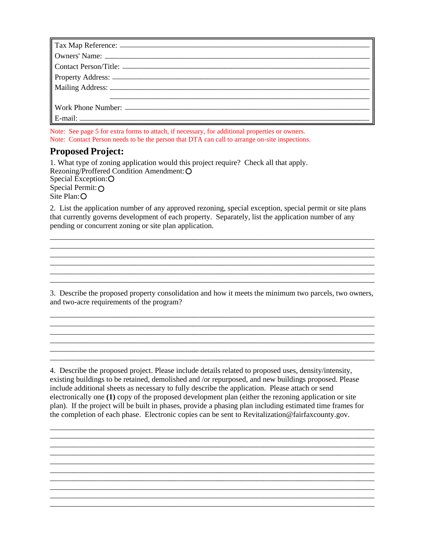Note: Contact Person needs to be the person that DTA can call to arrange on-site inspections. Note: See page 5 for extra forms to attach, if necessary, for additional properties or owners.

#### **Proposed Project:**

Site Plan: O Special Permit:  $\bigcap$ Special Exception: Rezoning/Proffered Condition Amendment: 1. What type of zoning application would this project require? Check all that apply.

pending or concurrent zoning or site plan application. that currently governs development of each property. Separately, list the application number of any 2. List the application number of any approved rezoning, special exception, special permit or site plans

and two-acre requirements of the program? 3. Describe the proposed property consolidation and how it meets the minimum two parcels, two owners,

 $\overline{a_1}$  ,  $\overline{a_2}$  ,  $\overline{a_3}$  ,  $\overline{a_4}$  ,  $\overline{a_5}$  ,  $\overline{a_6}$  ,  $\overline{a_7}$  ,  $\overline{a_8}$  ,  $\overline{a_9}$  ,  $\overline{a_9}$  ,  $\overline{a_9}$  ,  $\overline{a_9}$  ,  $\overline{a_9}$  ,  $\overline{a_9}$  ,  $\overline{a_9}$  ,  $\overline{a_9}$  ,  $\overline{a_9}$  , \_\_\_\_\_\_\_\_\_\_\_\_\_\_\_\_\_\_\_\_\_\_\_\_\_\_\_\_\_\_\_\_\_\_\_\_\_\_\_\_\_\_\_\_\_\_\_\_\_\_\_\_\_\_\_\_\_\_\_\_\_\_\_\_\_\_\_\_\_\_\_\_\_\_\_\_\_\_\_\_\_\_\_\_ \_\_\_\_\_\_\_\_\_\_\_\_\_\_\_\_\_\_\_\_\_\_\_\_\_\_\_\_\_\_\_\_\_\_\_\_\_\_\_\_\_\_\_\_\_\_\_\_\_\_\_\_\_\_\_\_\_\_\_\_\_\_\_\_\_\_\_\_\_\_\_\_\_\_\_\_\_\_\_\_\_\_\_\_ \_\_\_\_\_\_\_\_\_\_\_\_\_\_\_\_\_\_\_\_\_\_\_\_\_\_\_\_\_\_\_\_\_\_\_\_\_\_\_\_\_\_\_\_\_\_\_\_\_\_\_\_\_\_\_\_\_\_\_\_\_\_\_\_\_\_\_\_\_\_\_\_\_\_\_\_\_\_\_\_\_\_\_\_

\_\_\_\_\_\_\_\_\_\_\_\_\_\_\_\_\_\_\_\_\_\_\_\_\_\_\_\_\_\_\_\_\_\_\_\_\_\_\_\_\_\_\_\_\_\_\_\_\_\_\_\_\_\_\_\_\_\_\_\_\_\_\_\_\_\_\_\_\_\_\_\_\_\_\_\_\_\_\_\_\_\_\_\_

\_\_\_\_\_\_\_\_\_\_\_\_\_\_\_\_\_\_\_\_\_\_\_\_\_\_\_\_\_\_\_\_\_\_\_\_\_\_\_\_\_\_\_\_\_\_\_\_\_\_\_\_\_\_\_\_\_\_\_\_\_\_\_\_\_\_\_\_\_\_\_\_\_\_\_\_\_\_\_\_\_\_\_\_  $\_$  ,  $\_$  ,  $\_$  ,  $\_$  ,  $\_$  ,  $\_$  ,  $\_$  ,  $\_$  ,  $\_$  ,  $\_$  ,  $\_$  ,  $\_$  ,  $\_$  ,  $\_$  ,  $\_$  ,  $\_$  ,  $\_$  ,  $\_$  ,  $\_$  ,  $\_$  ,  $\_$  ,  $\_$  ,  $\_$  ,  $\_$  ,  $\_$  ,  $\_$  ,  $\_$  ,  $\_$  ,  $\_$  ,  $\_$  ,  $\_$  ,  $\_$  ,  $\_$  ,  $\_$  ,  $\_$  ,  $\_$  ,  $\_$  , \_\_\_\_\_\_\_\_\_\_\_\_\_\_\_\_\_\_\_\_\_\_\_\_\_\_\_\_\_\_\_\_\_\_\_\_\_\_\_\_\_\_\_\_\_\_\_\_\_\_\_\_\_\_\_\_\_\_\_\_\_\_\_\_\_\_\_\_\_\_\_\_\_\_\_\_\_\_\_\_\_\_\_\_ \_\_\_\_\_\_\_\_\_\_\_\_\_\_\_\_\_\_\_\_\_\_\_\_\_\_\_\_\_\_\_\_\_\_\_\_\_\_\_\_\_\_\_\_\_\_\_\_\_\_\_\_\_\_\_\_\_\_\_\_\_\_\_\_\_\_\_\_\_\_\_\_\_\_\_\_\_\_\_\_\_\_\_\_ \_\_\_\_\_\_\_\_\_\_\_\_\_\_\_\_\_\_\_\_\_\_\_\_\_\_\_\_\_\_\_\_\_\_\_\_\_\_\_\_\_\_\_\_\_\_\_\_\_\_\_\_\_\_\_\_\_\_\_\_\_\_\_\_\_\_\_\_\_\_\_\_\_\_\_\_\_\_\_\_\_\_\_\_

\_\_\_\_\_\_\_\_\_\_\_\_\_\_\_\_\_\_\_\_\_\_\_\_\_\_\_\_\_\_\_\_\_\_\_\_\_\_\_\_\_\_\_\_\_\_\_\_\_\_\_\_\_\_\_\_\_\_\_\_\_\_\_\_\_\_\_\_\_\_\_\_\_\_\_\_\_\_\_\_\_\_\_\_

 plan). If the project will be built in phases, provide a phasing plan including estimated time frames for the completion of each phase. Electronic copies can be sent to Revitalization@fairfaxcounty.gov. electronically one **(1)** copy of the proposed development plan (either the rezoning application or site include additional sheets as necessary to fully describe the application. Please attach or send existing buildings to be retained, demolished and /or repurposed, and new buildings proposed. Please 4. Describe the proposed project. Please include details related to proposed uses, density/intensity,

*\_\_\_\_\_\_\_\_\_\_\_\_\_\_\_\_\_\_\_\_\_\_\_\_\_\_\_\_\_\_\_\_\_\_\_\_\_\_\_\_\_\_\_\_\_\_\_\_\_\_\_\_\_\_\_\_\_\_\_\_\_\_\_\_\_\_\_\_\_\_\_\_\_\_\_\_\_\_\_\_\_\_\_\_\_*

*\_\_\_\_\_\_\_\_\_\_\_\_\_\_\_\_\_\_\_\_\_\_\_\_\_\_\_\_\_\_\_\_\_\_\_\_\_\_\_\_\_\_\_\_\_\_\_\_\_\_\_\_\_\_\_\_\_\_\_\_\_\_\_\_\_\_\_\_\_\_\_\_\_\_\_\_\_\_\_\_\_\_\_\_\_*

*\_\_\_\_\_\_\_\_\_\_\_\_\_\_\_\_\_\_\_\_\_\_\_\_\_\_\_\_\_\_\_\_\_\_\_\_\_\_\_\_\_\_\_\_\_\_\_\_\_\_\_\_\_\_\_\_\_\_\_\_\_\_\_\_\_\_\_\_\_\_\_\_\_\_\_\_\_\_\_\_\_\_\_\_\_*

*\_\_\_\_\_\_\_\_\_\_\_\_\_\_\_\_\_\_\_\_\_\_\_\_\_\_\_\_\_\_\_\_\_\_\_\_\_\_\_\_\_\_\_\_\_\_\_\_\_\_\_\_\_\_\_\_\_\_\_\_\_\_\_\_\_\_\_\_\_\_\_\_\_\_\_\_\_\_\_\_\_\_\_\_\_ \_\_\_\_\_\_\_\_\_\_\_\_\_\_\_\_\_\_\_\_\_\_\_\_\_\_\_\_\_\_\_\_\_\_\_\_\_\_\_\_\_\_\_\_\_\_\_\_\_\_\_\_\_\_\_\_\_\_\_\_\_\_\_\_\_\_\_\_\_\_\_\_\_\_\_\_\_\_\_\_\_\_\_\_\_ \_\_\_\_\_\_\_\_\_\_\_\_\_\_\_\_\_\_\_\_\_\_\_\_\_\_\_\_\_\_\_\_\_\_\_\_\_\_\_\_\_\_\_\_\_\_\_\_\_\_\_\_\_\_\_\_\_\_\_\_\_\_\_\_\_\_\_\_\_\_\_\_\_\_\_\_\_\_\_\_\_\_\_\_\_ \_\_\_\_\_\_\_\_\_\_\_\_\_\_\_\_\_\_\_\_\_\_\_\_\_\_\_\_\_\_\_\_\_\_\_\_\_\_\_\_\_\_\_\_\_\_\_\_\_\_\_\_\_\_\_\_\_\_\_\_\_\_\_\_\_\_\_\_\_\_\_\_\_\_\_\_\_\_\_\_\_\_\_\_\_ \_\_\_\_\_\_\_\_\_\_\_\_\_\_\_\_\_\_\_\_\_\_\_\_\_\_\_\_\_\_\_\_\_\_\_\_\_\_\_\_\_\_\_\_\_\_\_\_\_\_\_\_\_\_\_\_\_\_\_\_\_\_\_\_\_\_\_\_\_\_\_\_\_\_\_\_\_\_\_\_\_\_\_\_\_*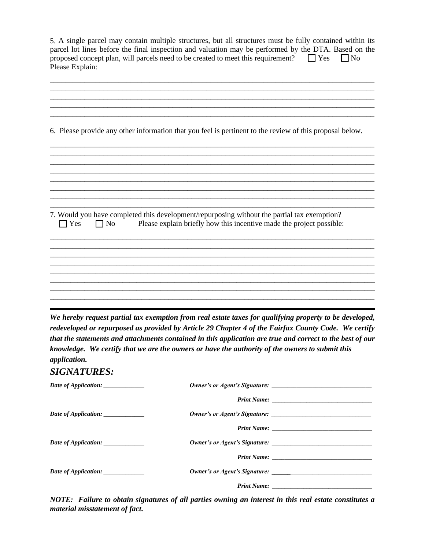| Please Explain:                   | 5. A single parcel may contain multiple structures, but all structures must be fully contained within its<br>parcel lot lines before the final inspection and valuation may be performed by the DTA. Based on the<br>proposed concept plan, will parcels need to be created to meet this requirement?                                                                                                                           | $\Box$ Yes<br>$\Box$ No |
|-----------------------------------|---------------------------------------------------------------------------------------------------------------------------------------------------------------------------------------------------------------------------------------------------------------------------------------------------------------------------------------------------------------------------------------------------------------------------------|-------------------------|
|                                   |                                                                                                                                                                                                                                                                                                                                                                                                                                 |                         |
|                                   |                                                                                                                                                                                                                                                                                                                                                                                                                                 |                         |
|                                   | 6. Please provide any other information that you feel is pertinent to the review of this proposal below.                                                                                                                                                                                                                                                                                                                        |                         |
|                                   |                                                                                                                                                                                                                                                                                                                                                                                                                                 |                         |
|                                   |                                                                                                                                                                                                                                                                                                                                                                                                                                 |                         |
| $\Box$ Yes<br>$\Box$ No           | 7. Would you have completed this development/repurposing without the partial tax exemption?<br>Please explain briefly how this incentive made the project possible:                                                                                                                                                                                                                                                             |                         |
|                                   |                                                                                                                                                                                                                                                                                                                                                                                                                                 |                         |
|                                   |                                                                                                                                                                                                                                                                                                                                                                                                                                 |                         |
|                                   |                                                                                                                                                                                                                                                                                                                                                                                                                                 |                         |
| application.                      | We hereby request partial tax exemption from real estate taxes for qualifying property to be developed,<br>redeveloped or repurposed as provided by Article 29 Chapter 4 of the Fairfax County Code. We certify<br>that the statements and attachments contained in this application are true and correct to the best of our<br>knowledge. We certify that we are the owners or have the authority of the owners to submit this |                         |
| <b>SIGNATURES:</b>                |                                                                                                                                                                                                                                                                                                                                                                                                                                 |                         |
| Date of Application: ___________  |                                                                                                                                                                                                                                                                                                                                                                                                                                 |                         |
|                                   |                                                                                                                                                                                                                                                                                                                                                                                                                                 |                         |
| Date of Application: ____________ |                                                                                                                                                                                                                                                                                                                                                                                                                                 |                         |
| Date of Application: ____________ |                                                                                                                                                                                                                                                                                                                                                                                                                                 |                         |
|                                   |                                                                                                                                                                                                                                                                                                                                                                                                                                 |                         |
| Date of Application: ____________ |                                                                                                                                                                                                                                                                                                                                                                                                                                 |                         |
|                                   |                                                                                                                                                                                                                                                                                                                                                                                                                                 |                         |

*material misstatement of fact. NOTE: Failure to obtain signatures of all parties owning an interest in this real estate constitutes a*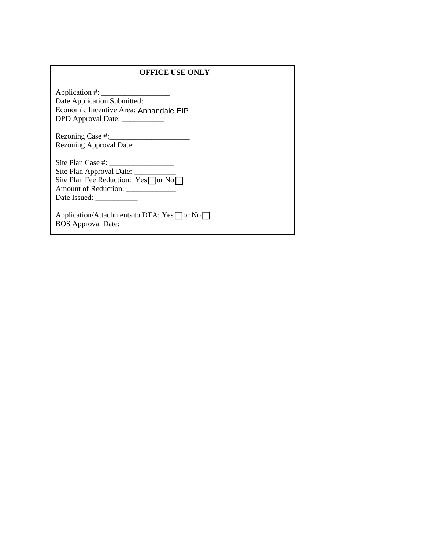#### **OFFICE USE ONLY**

DPD Approval Date: \_\_\_\_\_\_\_\_\_\_\_\_ Economic Incentive Area: Annandale EIP Date Application Submitted: \_\_\_\_\_\_\_\_\_\_\_ Application #: \_\_\_\_\_\_\_\_\_\_\_\_\_\_\_\_\_\_

Rezoning Approval Date: \_\_\_\_\_\_\_\_\_ Rezoning Case #:\_\_\_\_\_\_\_\_\_\_\_\_\_\_\_\_\_\_\_\_\_

Site Plan Fee Reduction:  $Yes$  or No Date Issued: \_\_\_\_\_\_\_\_\_\_\_ Amount of Reduction: \_\_\_\_\_\_\_\_\_\_\_\_\_ Site Plan Approval Date: Site Plan Case #: \_\_\_\_\_\_\_\_\_\_\_\_\_\_\_\_\_

BOS Approval Date: \_\_\_\_\_\_\_\_\_\_\_\_ Application/Attachments to DTA:  $Yes \square or No \square$